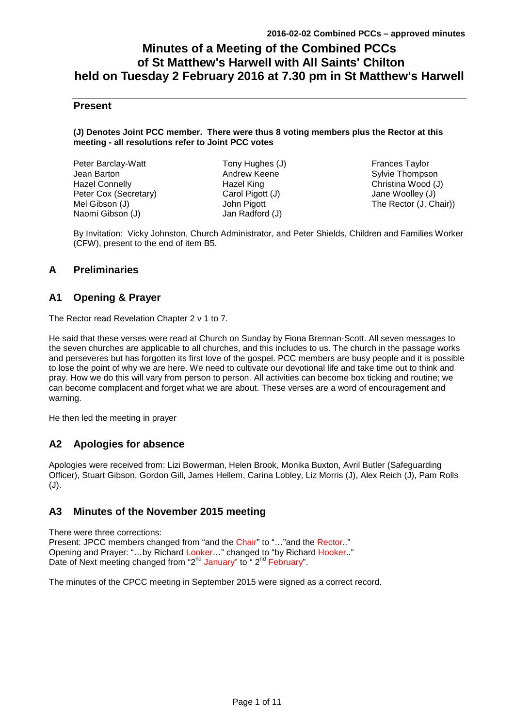# **Minutes of a Meeting of the Combined PCCs of St Matthew's Harwell with All Saints' Chilton held on Tuesday 2 February 2016 at 7.30 pm in St Matthew's Harwell**

## **Present**

#### **(J) Denotes Joint PCC member. There were thus 8 voting members plus the Rector at this meeting - all resolutions refer to Joint PCC votes**

| Peter Barclay-Watt    |
|-----------------------|
| Jean Barton           |
| <b>Hazel Connelly</b> |
| Peter Cox (Secretary) |
| Mel Gibson (J)        |
| Naomi Gibson (J)      |

Tony Hughes (J) Andrew Keene Hazel King Carol Pigott (J) John Pigott Jan Radford (J)

Frances Taylor Sylvie Thompson Christina Wood (J) Jane Woolley (J) The Rector (J, Chair))

By Invitation: Vicky Johnston, Church Administrator, and Peter Shields, Children and Families Worker (CFW), present to the end of item B5.

## **A Preliminaries**

## **A1 Opening & Prayer**

The Rector read Revelation Chapter 2 v 1 to 7.

He said that these verses were read at Church on Sunday by Fiona Brennan-Scott. All seven messages to the seven churches are applicable to all churches, and this includes to us. The church in the passage works and perseveres but has forgotten its first love of the gospel. PCC members are busy people and it is possible to lose the point of why we are here. We need to cultivate our devotional life and take time out to think and pray. How we do this will vary from person to person. All activities can become box ticking and routine; we can become complacent and forget what we are about. These verses are a word of encouragement and warning.

He then led the meeting in prayer

# **A2 Apologies for absence**

Apologies were received from: Lizi Bowerman, Helen Brook, Monika Buxton, Avril Butler (Safeguarding Officer), Stuart Gibson, Gordon Gill, James Hellem, Carina Lobley, Liz Morris (J), Alex Reich (J), Pam Rolls (J).

# **A3 Minutes of the November 2015 meeting**

There were three corrections: Present: JPCC members changed from "and the Chair" to "..." and the Rector.." Opening and Prayer: "…by Richard Looker…" changed to "by Richard Hooker.." Date of Next meeting changed from "2<sup>nd</sup> January" to "2<sup>nd</sup> February".

The minutes of the CPCC meeting in September 2015 were signed as a correct record.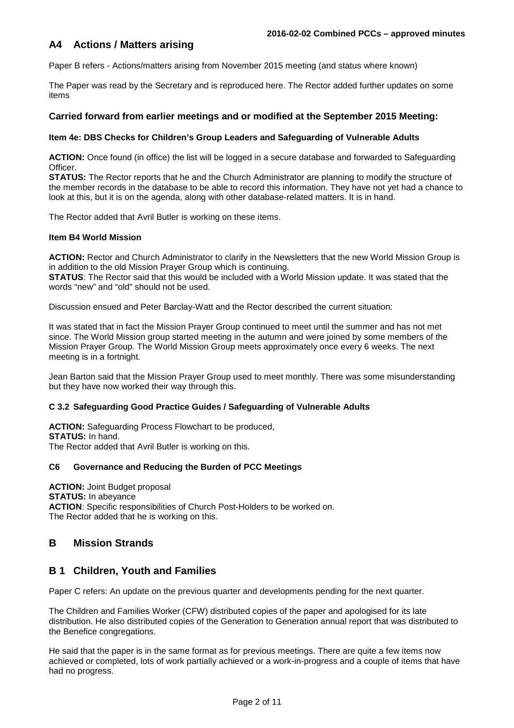# **A4 Actions / Matters arising**

Paper B refers - Actions/matters arising from November 2015 meeting (and status where known)

The Paper was read by the Secretary and is reproduced here. The Rector added further updates on some items

### **Carried forward from earlier meetings and or modified at the September 2015 Meeting:**

#### **Item 4e: DBS Checks for Children's Group Leaders and Safeguarding of Vulnerable Adults**

**ACTION:** Once found (in office) the list will be logged in a secure database and forwarded to Safeguarding Officer.

**STATUS:** The Rector reports that he and the Church Administrator are planning to modify the structure of the member records in the database to be able to record this information. They have not yet had a chance to look at this, but it is on the agenda, along with other database-related matters. It is in hand.

The Rector added that Avril Butler is working on these items.

#### **Item B4 World Mission**

**ACTION:** Rector and Church Administrator to clarify in the Newsletters that the new World Mission Group is in addition to the old Mission Prayer Group which is continuing.

**STATUS**: The Rector said that this would be included with a World Mission update. It was stated that the words "new" and "old" should not be used.

Discussion ensued and Peter Barclay-Watt and the Rector described the current situation:

It was stated that in fact the Mission Prayer Group continued to meet until the summer and has not met since. The World Mission group started meeting in the autumn and were joined by some members of the Mission Prayer Group. The World Mission Group meets approximately once every 6 weeks. The next meeting is in a fortnight.

Jean Barton said that the Mission Prayer Group used to meet monthly. There was some misunderstanding but they have now worked their way through this.

### **C 3.2 Safeguarding Good Practice Guides / Safeguarding of Vulnerable Adults**

**ACTION:** Safeguarding Process Flowchart to be produced, **STATUS:** In hand. The Rector added that Avril Butler is working on this.

### **C6 Governance and Reducing the Burden of PCC Meetings**

**ACTION:** Joint Budget proposal **STATUS:** In abeyance **ACTION**: Specific responsibilities of Church Post-Holders to be worked on. The Rector added that he is working on this.

## **B Mission Strands**

## **B 1 Children, Youth and Families**

Paper C refers: An update on the previous quarter and developments pending for the next quarter.

The Children and Families Worker (CFW) distributed copies of the paper and apologised for its late distribution. He also distributed copies of the Generation to Generation annual report that was distributed to the Benefice congregations.

He said that the paper is in the same format as for previous meetings. There are quite a few items now achieved or completed, lots of work partially achieved or a work-in-progress and a couple of items that have had no progress.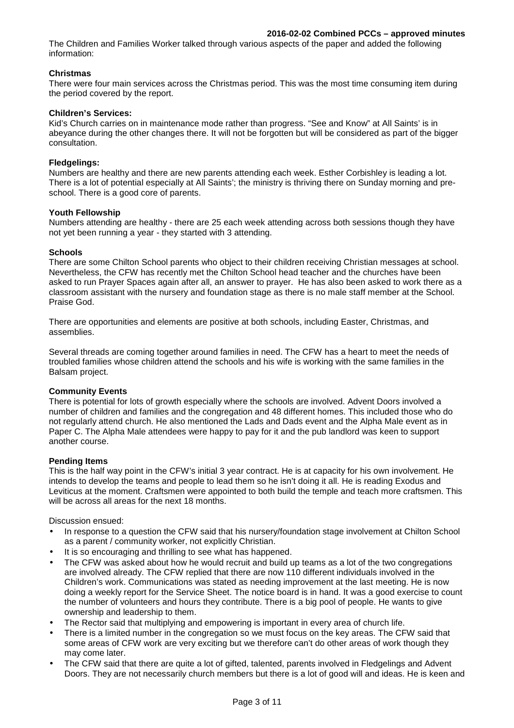The Children and Families Worker talked through various aspects of the paper and added the following information:

### **Christmas**

There were four main services across the Christmas period. This was the most time consuming item during the period covered by the report.

#### **Children's Services:**

Kid's Church carries on in maintenance mode rather than progress. "See and Know" at All Saints' is in abeyance during the other changes there. It will not be forgotten but will be considered as part of the bigger consultation.

#### **Fledgelings:**

Numbers are healthy and there are new parents attending each week. Esther Corbishley is leading a lot. There is a lot of potential especially at All Saints'; the ministry is thriving there on Sunday morning and preschool. There is a good core of parents.

#### **Youth Fellowship**

Numbers attending are healthy - there are 25 each week attending across both sessions though they have not yet been running a year - they started with 3 attending.

#### **Schools**

There are some Chilton School parents who object to their children receiving Christian messages at school. Nevertheless, the CFW has recently met the Chilton School head teacher and the churches have been asked to run Prayer Spaces again after all, an answer to prayer. He has also been asked to work there as a classroom assistant with the nursery and foundation stage as there is no male staff member at the School. Praise God.

There are opportunities and elements are positive at both schools, including Easter, Christmas, and assemblies.

Several threads are coming together around families in need. The CFW has a heart to meet the needs of troubled families whose children attend the schools and his wife is working with the same families in the Balsam project.

#### **Community Events**

There is potential for lots of growth especially where the schools are involved. Advent Doors involved a number of children and families and the congregation and 48 different homes. This included those who do not regularly attend church. He also mentioned the Lads and Dads event and the Alpha Male event as in Paper C. The Alpha Male attendees were happy to pay for it and the pub landlord was keen to support another course.

### **Pending Items**

This is the half way point in the CFW's initial 3 year contract. He is at capacity for his own involvement. He intends to develop the teams and people to lead them so he isn't doing it all. He is reading Exodus and Leviticus at the moment. Craftsmen were appointed to both build the temple and teach more craftsmen. This will be across all areas for the next 18 months.

Discussion ensued:

- In response to a question the CFW said that his nursery/foundation stage involvement at Chilton School as a parent / community worker, not explicitly Christian.
- It is so encouraging and thrilling to see what has happened.
- The CFW was asked about how he would recruit and build up teams as a lot of the two congregations are involved already. The CFW replied that there are now 110 different individuals involved in the Children's work. Communications was stated as needing improvement at the last meeting. He is now doing a weekly report for the Service Sheet. The notice board is in hand. It was a good exercise to count the number of volunteers and hours they contribute. There is a big pool of people. He wants to give ownership and leadership to them.
- The Rector said that multiplying and empowering is important in every area of church life.
- There is a limited number in the congregation so we must focus on the key areas. The CFW said that some areas of CFW work are very exciting but we therefore can't do other areas of work though they may come later.
- The CFW said that there are quite a lot of gifted, talented, parents involved in Fledgelings and Advent Doors. They are not necessarily church members but there is a lot of good will and ideas. He is keen and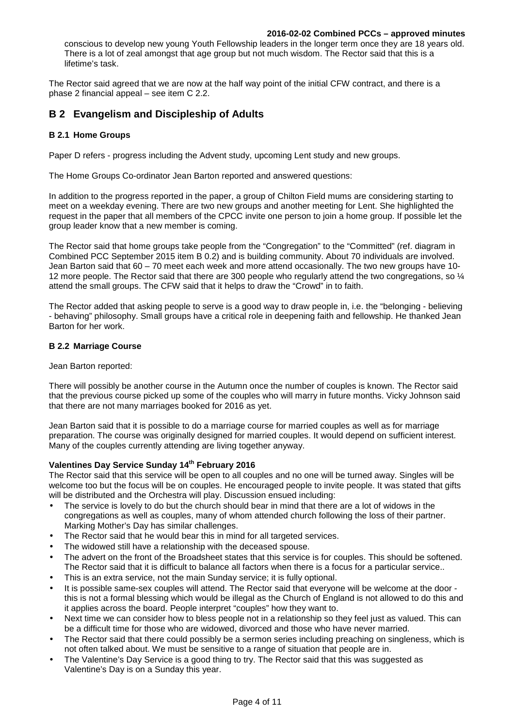#### **2016-02-02 Combined PCCs – approved minutes**

conscious to develop new young Youth Fellowship leaders in the longer term once they are 18 years old. There is a lot of zeal amongst that age group but not much wisdom. The Rector said that this is a lifetime's task.

The Rector said agreed that we are now at the half way point of the initial CFW contract, and there is a phase 2 financial appeal – see item C 2.2.

# **B 2 Evangelism and Discipleship of Adults**

#### **B 2.1 Home Groups**

Paper D refers - progress including the Advent study, upcoming Lent study and new groups.

The Home Groups Co-ordinator Jean Barton reported and answered questions:

In addition to the progress reported in the paper, a group of Chilton Field mums are considering starting to meet on a weekday evening. There are two new groups and another meeting for Lent. She highlighted the request in the paper that all members of the CPCC invite one person to join a home group. If possible let the group leader know that a new member is coming.

The Rector said that home groups take people from the "Congregation" to the "Committed" (ref. diagram in Combined PCC September 2015 item B 0.2) and is building community. About 70 individuals are involved. Jean Barton said that 60 – 70 meet each week and more attend occasionally. The two new groups have 10- 12 more people. The Rector said that there are 300 people who regularly attend the two congregations, so ¼ attend the small groups. The CFW said that it helps to draw the "Crowd" in to faith.

The Rector added that asking people to serve is a good way to draw people in, i.e. the "belonging - believing - behaving" philosophy. Small groups have a critical role in deepening faith and fellowship. He thanked Jean Barton for her work.

#### **B 2.2 Marriage Course**

Jean Barton reported:

There will possibly be another course in the Autumn once the number of couples is known. The Rector said that the previous course picked up some of the couples who will marry in future months. Vicky Johnson said that there are not many marriages booked for 2016 as yet.

Jean Barton said that it is possible to do a marriage course for married couples as well as for marriage preparation. The course was originally designed for married couples. It would depend on sufficient interest. Many of the couples currently attending are living together anyway.

## **Valentines Day Service Sunday 14th February 2016**

The Rector said that this service will be open to all couples and no one will be turned away. Singles will be welcome too but the focus will be on couples. He encouraged people to invite people. It was stated that gifts will be distributed and the Orchestra will play. Discussion ensued including:

- The service is lovely to do but the church should bear in mind that there are a lot of widows in the congregations as well as couples, many of whom attended church following the loss of their partner. Marking Mother's Day has similar challenges.
- The Rector said that he would bear this in mind for all targeted services.
- The widowed still have a relationship with the deceased spouse.
- The advert on the front of the Broadsheet states that this service is for couples. This should be softened. The Rector said that it is difficult to balance all factors when there is a focus for a particular service..
- This is an extra service, not the main Sunday service; it is fully optional.
- It is possible same-sex couples will attend. The Rector said that everyone will be welcome at the door this is not a formal blessing which would be illegal as the Church of England is not allowed to do this and it applies across the board. People interpret "couples" how they want to.
- Next time we can consider how to bless people not in a relationship so they feel just as valued. This can be a difficult time for those who are widowed, divorced and those who have never married.
- The Rector said that there could possibly be a sermon series including preaching on singleness, which is not often talked about. We must be sensitive to a range of situation that people are in.
- The Valentine's Day Service is a good thing to try. The Rector said that this was suggested as Valentine's Day is on a Sunday this year.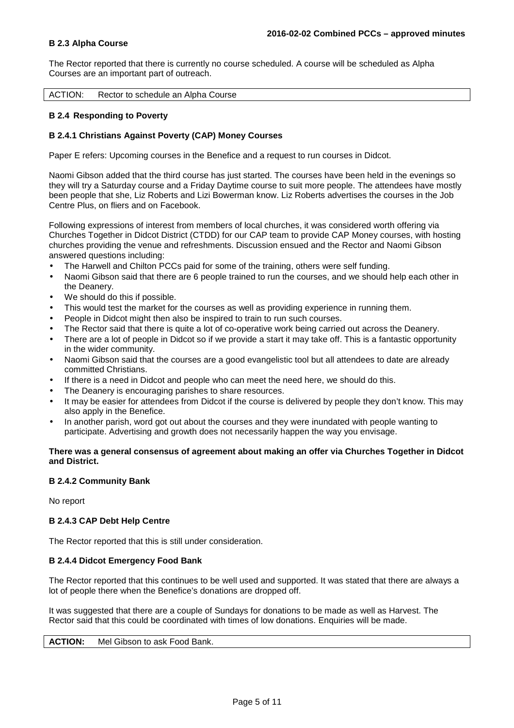#### **B 2.3 Alpha Course**

The Rector reported that there is currently no course scheduled. A course will be scheduled as Alpha Courses are an important part of outreach.

ACTION: Rector to schedule an Alpha Course

#### **B 2.4 Responding to Poverty**

#### **B 2.4.1 Christians Against Poverty (CAP) Money Courses**

Paper E refers: Upcoming courses in the Benefice and a request to run courses in Didcot.

Naomi Gibson added that the third course has just started. The courses have been held in the evenings so they will try a Saturday course and a Friday Daytime course to suit more people. The attendees have mostly been people that she, Liz Roberts and Lizi Bowerman know. Liz Roberts advertises the courses in the Job Centre Plus, on fliers and on Facebook.

Following expressions of interest from members of local churches, it was considered worth offering via Churches Together in Didcot District (CTDD) for our CAP team to provide CAP Money courses, with hosting churches providing the venue and refreshments. Discussion ensued and the Rector and Naomi Gibson answered questions including:

- The Harwell and Chilton PCCs paid for some of the training, others were self funding.
- Naomi Gibson said that there are 6 people trained to run the courses, and we should help each other in the Deanery.
- We should do this if possible.
- This would test the market for the courses as well as providing experience in running them.
- People in Didcot might then also be inspired to train to run such courses.
- The Rector said that there is quite a lot of co-operative work being carried out across the Deanery.
- There are a lot of people in Didcot so if we provide a start it may take off. This is a fantastic opportunity in the wider community.
- Naomi Gibson said that the courses are a good evangelistic tool but all attendees to date are already committed Christians.
- If there is a need in Didcot and people who can meet the need here, we should do this.
- The Deanery is encouraging parishes to share resources.
- It may be easier for attendees from Didcot if the course is delivered by people they don't know. This may also apply in the Benefice.
- In another parish, word got out about the courses and they were inundated with people wanting to participate. Advertising and growth does not necessarily happen the way you envisage.

#### **There was a general consensus of agreement about making an offer via Churches Together in Didcot and District.**

#### **B 2.4.2 Community Bank**

No report

#### **B 2.4.3 CAP Debt Help Centre**

The Rector reported that this is still under consideration.

#### **B 2.4.4 Didcot Emergency Food Bank**

The Rector reported that this continues to be well used and supported. It was stated that there are always a lot of people there when the Benefice's donations are dropped off.

It was suggested that there are a couple of Sundays for donations to be made as well as Harvest. The Rector said that this could be coordinated with times of low donations. Enquiries will be made.

**ACTION:** Mel Gibson to ask Food Bank.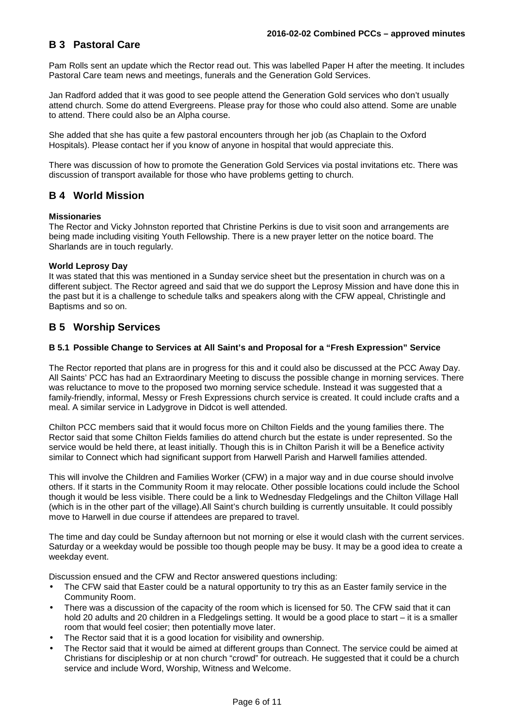# **B 3 Pastoral Care**

Pam Rolls sent an update which the Rector read out. This was labelled Paper H after the meeting. It includes Pastoral Care team news and meetings, funerals and the Generation Gold Services.

Jan Radford added that it was good to see people attend the Generation Gold services who don't usually attend church. Some do attend Evergreens. Please pray for those who could also attend. Some are unable to attend. There could also be an Alpha course.

She added that she has quite a few pastoral encounters through her job (as Chaplain to the Oxford Hospitals). Please contact her if you know of anyone in hospital that would appreciate this.

There was discussion of how to promote the Generation Gold Services via postal invitations etc. There was discussion of transport available for those who have problems getting to church.

## **B 4 World Mission**

#### **Missionaries**

The Rector and Vicky Johnston reported that Christine Perkins is due to visit soon and arrangements are being made including visiting Youth Fellowship. There is a new prayer letter on the notice board. The Sharlands are in touch regularly.

#### **World Leprosy Day**

It was stated that this was mentioned in a Sunday service sheet but the presentation in church was on a different subject. The Rector agreed and said that we do support the Leprosy Mission and have done this in the past but it is a challenge to schedule talks and speakers along with the CFW appeal, Christingle and Baptisms and so on.

## **B 5 Worship Services**

#### **B 5.1 Possible Change to Services at All Saint's and Proposal for a "Fresh Expression" Service**

The Rector reported that plans are in progress for this and it could also be discussed at the PCC Away Day. All Saints' PCC has had an Extraordinary Meeting to discuss the possible change in morning services. There was reluctance to move to the proposed two morning service schedule. Instead it was suggested that a family-friendly, informal, Messy or Fresh Expressions church service is created. It could include crafts and a meal. A similar service in Ladygrove in Didcot is well attended.

Chilton PCC members said that it would focus more on Chilton Fields and the young families there. The Rector said that some Chilton Fields families do attend church but the estate is under represented. So the service would be held there, at least initially. Though this is in Chilton Parish it will be a Benefice activity similar to Connect which had significant support from Harwell Parish and Harwell families attended.

This will involve the Children and Families Worker (CFW) in a major way and in due course should involve others. If it starts in the Community Room it may relocate. Other possible locations could include the School though it would be less visible. There could be a link to Wednesday Fledgelings and the Chilton Village Hall (which is in the other part of the village).All Saint's church building is currently unsuitable. It could possibly move to Harwell in due course if attendees are prepared to travel.

The time and day could be Sunday afternoon but not morning or else it would clash with the current services. Saturday or a weekday would be possible too though people may be busy. It may be a good idea to create a weekday event.

Discussion ensued and the CFW and Rector answered questions including:

- The CFW said that Easter could be a natural opportunity to try this as an Easter family service in the Community Room.
- There was a discussion of the capacity of the room which is licensed for 50. The CFW said that it can hold 20 adults and 20 children in a Fledgelings setting. It would be a good place to start – it is a smaller room that would feel cosier; then potentially move later.
- The Rector said that it is a good location for visibility and ownership.
- The Rector said that it would be aimed at different groups than Connect. The service could be aimed at Christians for discipleship or at non church "crowd" for outreach. He suggested that it could be a church service and include Word, Worship, Witness and Welcome.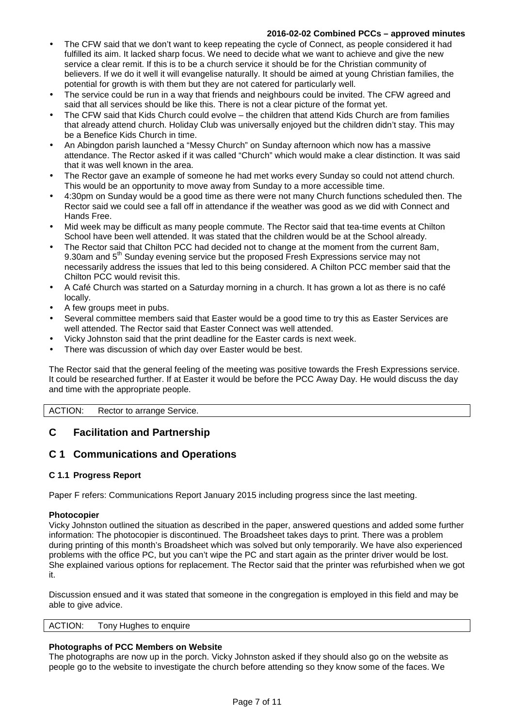## **2016-02-02 Combined PCCs – approved minutes**

- The CFW said that we don't want to keep repeating the cycle of Connect, as people considered it had fulfilled its aim. It lacked sharp focus. We need to decide what we want to achieve and give the new service a clear remit. If this is to be a church service it should be for the Christian community of believers. If we do it well it will evangelise naturally. It should be aimed at young Christian families, the potential for growth is with them but they are not catered for particularly well.
- The service could be run in a way that friends and neighbours could be invited. The CFW agreed and said that all services should be like this. There is not a clear picture of the format yet.
- The CFW said that Kids Church could evolve the children that attend Kids Church are from families that already attend church. Holiday Club was universally enjoyed but the children didn't stay. This may be a Benefice Kids Church in time.
- An Abingdon parish launched a "Messy Church" on Sunday afternoon which now has a massive attendance. The Rector asked if it was called "Church" which would make a clear distinction. It was said that it was well known in the area.
- The Rector gave an example of someone he had met works every Sunday so could not attend church. This would be an opportunity to move away from Sunday to a more accessible time.
- 4:30pm on Sunday would be a good time as there were not many Church functions scheduled then. The Rector said we could see a fall off in attendance if the weather was good as we did with Connect and Hands Free.
- Mid week may be difficult as many people commute. The Rector said that tea-time events at Chilton School have been well attended. It was stated that the children would be at the School already.
- The Rector said that Chilton PCC had decided not to change at the moment from the current 8am, 9.30am and 5<sup>th</sup> Sunday evening service but the proposed Fresh Expressions service may not necessarily address the issues that led to this being considered. A Chilton PCC member said that the Chilton PCC would revisit this.
- A Café Church was started on a Saturday morning in a church. It has grown a lot as there is no café locally.
- A few groups meet in pubs.
- Several committee members said that Easter would be a good time to try this as Easter Services are well attended. The Rector said that Easter Connect was well attended.
- Vicky Johnston said that the print deadline for the Easter cards is next week.
- There was discussion of which day over Easter would be best.

The Rector said that the general feeling of the meeting was positive towards the Fresh Expressions service. It could be researched further. If at Easter it would be before the PCC Away Day. He would discuss the day and time with the appropriate people.

ACTION: Rector to arrange Service.

# **C Facilitation and Partnership**

## **C 1 Communications and Operations**

### **C 1.1 Progress Report**

Paper F refers: Communications Report January 2015 including progress since the last meeting.

### **Photocopier**

Vicky Johnston outlined the situation as described in the paper, answered questions and added some further information: The photocopier is discontinued. The Broadsheet takes days to print. There was a problem during printing of this month's Broadsheet which was solved but only temporarily. We have also experienced problems with the office PC, but you can't wipe the PC and start again as the printer driver would be lost. She explained various options for replacement. The Rector said that the printer was refurbished when we got it.

Discussion ensued and it was stated that someone in the congregation is employed in this field and may be able to give advice.

| <b>ACTION:</b> | Tony Hughes to enquire |  |
|----------------|------------------------|--|
|                |                        |  |

### **Photographs of PCC Members on Website**

The photographs are now up in the porch. Vicky Johnston asked if they should also go on the website as people go to the website to investigate the church before attending so they know some of the faces. We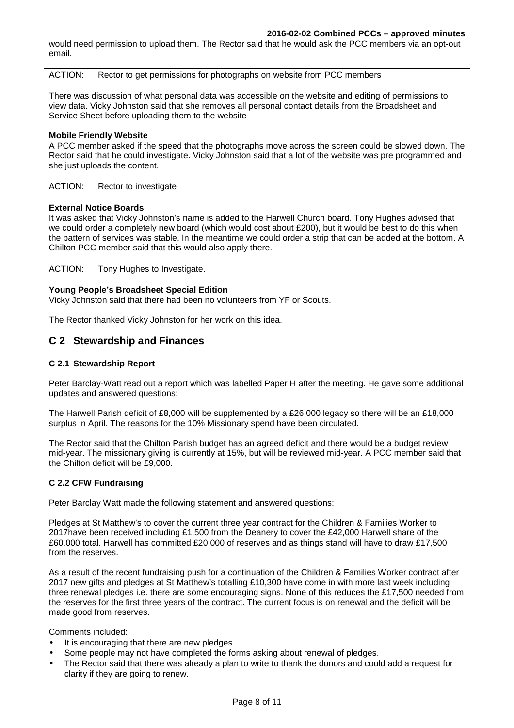#### **2016-02-02 Combined PCCs – approved minutes**

would need permission to upload them. The Rector said that he would ask the PCC members via an opt-out email.

ACTION: Rector to get permissions for photographs on website from PCC members

There was discussion of what personal data was accessible on the website and editing of permissions to view data. Vicky Johnston said that she removes all personal contact details from the Broadsheet and Service Sheet before uploading them to the website

#### **Mobile Friendly Website**

A PCC member asked if the speed that the photographs move across the screen could be slowed down. The Rector said that he could investigate. Vicky Johnston said that a lot of the website was pre programmed and she just uploads the content.

| <b>ACTION:</b> | Rector to investigate |  |
|----------------|-----------------------|--|

#### **External Notice Boards**

It was asked that Vicky Johnston's name is added to the Harwell Church board. Tony Hughes advised that we could order a completely new board (which would cost about £200), but it would be best to do this when the pattern of services was stable. In the meantime we could order a strip that can be added at the bottom. A Chilton PCC member said that this would also apply there.

| ACTION: Tony Hughes to Investigate. |  |
|-------------------------------------|--|
|                                     |  |

#### **Young People's Broadsheet Special Edition**

Vicky Johnston said that there had been no volunteers from YF or Scouts.

The Rector thanked Vicky Johnston for her work on this idea.

### **C 2 Stewardship and Finances**

#### **C 2.1 Stewardship Report**

Peter Barclay-Watt read out a report which was labelled Paper H after the meeting. He gave some additional updates and answered questions:

The Harwell Parish deficit of £8,000 will be supplemented by a £26,000 legacy so there will be an £18,000 surplus in April. The reasons for the 10% Missionary spend have been circulated.

The Rector said that the Chilton Parish budget has an agreed deficit and there would be a budget review mid-year. The missionary giving is currently at 15%, but will be reviewed mid-year. A PCC member said that the Chilton deficit will be £9,000.

#### **C 2.2 CFW Fundraising**

Peter Barclay Watt made the following statement and answered questions:

Pledges at St Matthew's to cover the current three year contract for the Children & Families Worker to 2017have been received including £1,500 from the Deanery to cover the £42,000 Harwell share of the £60,000 total. Harwell has committed £20,000 of reserves and as things stand will have to draw £17,500 from the reserves.

As a result of the recent fundraising push for a continuation of the Children & Families Worker contract after 2017 new gifts and pledges at St Matthew's totalling £10,300 have come in with more last week including three renewal pledges i.e. there are some encouraging signs. None of this reduces the £17,500 needed from the reserves for the first three years of the contract. The current focus is on renewal and the deficit will be made good from reserves.

Comments included:

- It is encouraging that there are new pledges.
- Some people may not have completed the forms asking about renewal of pledges.
- The Rector said that there was already a plan to write to thank the donors and could add a request for clarity if they are going to renew.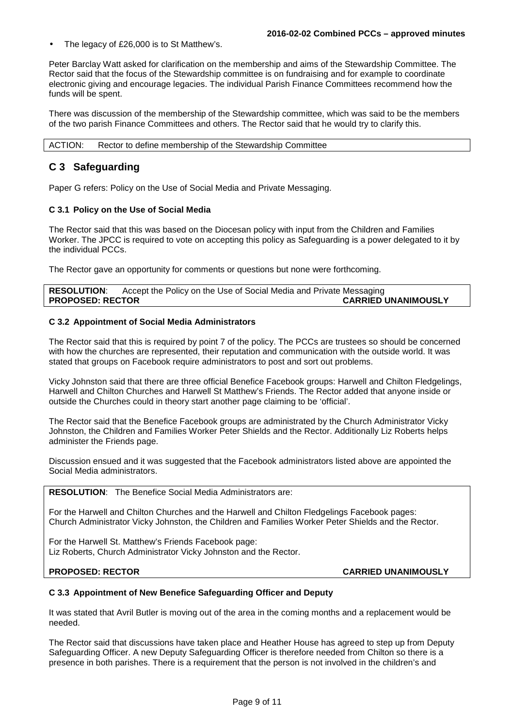The legacy of £26,000 is to St Matthew's.

Peter Barclay Watt asked for clarification on the membership and aims of the Stewardship Committee. The Rector said that the focus of the Stewardship committee is on fundraising and for example to coordinate electronic giving and encourage legacies. The individual Parish Finance Committees recommend how the funds will be spent.

There was discussion of the membership of the Stewardship committee, which was said to be the members of the two parish Finance Committees and others. The Rector said that he would try to clarify this.

ACTION: Rector to define membership of the Stewardship Committee

## **C 3 Safeguarding**

Paper G refers: Policy on the Use of Social Media and Private Messaging.

#### **C 3.1 Policy on the Use of Social Media**

The Rector said that this was based on the Diocesan policy with input from the Children and Families Worker. The JPCC is required to vote on accepting this policy as Safeguarding is a power delegated to it by the individual PCCs.

The Rector gave an opportunity for comments or questions but none were forthcoming.

| <b>RESOLUTION:</b>      | Accept the Policy on the Use of Social Media and Private Messaging |                            |
|-------------------------|--------------------------------------------------------------------|----------------------------|
| <b>PROPOSED: RECTOR</b> |                                                                    | <b>CARRIED UNANIMOUSLY</b> |

#### **C 3.2 Appointment of Social Media Administrators**

The Rector said that this is required by point 7 of the policy. The PCCs are trustees so should be concerned with how the churches are represented, their reputation and communication with the outside world. It was stated that groups on Facebook require administrators to post and sort out problems.

Vicky Johnston said that there are three official Benefice Facebook groups: Harwell and Chilton Fledgelings, Harwell and Chilton Churches and Harwell St Matthew's Friends. The Rector added that anyone inside or outside the Churches could in theory start another page claiming to be 'official'.

The Rector said that the Benefice Facebook groups are administrated by the Church Administrator Vicky Johnston, the Children and Families Worker Peter Shields and the Rector. Additionally Liz Roberts helps administer the Friends page.

Discussion ensued and it was suggested that the Facebook administrators listed above are appointed the Social Media administrators.

**RESOLUTION**: The Benefice Social Media Administrators are:

For the Harwell and Chilton Churches and the Harwell and Chilton Fledgelings Facebook pages: Church Administrator Vicky Johnston, the Children and Families Worker Peter Shields and the Rector.

For the Harwell St. Matthew's Friends Facebook page: Liz Roberts, Church Administrator Vicky Johnston and the Rector.

**PROPOSED: RECTOR CARRIED UNANIMOUSLY** 

#### **C 3.3 Appointment of New Benefice Safeguarding Officer and Deputy**

It was stated that Avril Butler is moving out of the area in the coming months and a replacement would be needed.

The Rector said that discussions have taken place and Heather House has agreed to step up from Deputy Safeguarding Officer. A new Deputy Safeguarding Officer is therefore needed from Chilton so there is a presence in both parishes. There is a requirement that the person is not involved in the children's and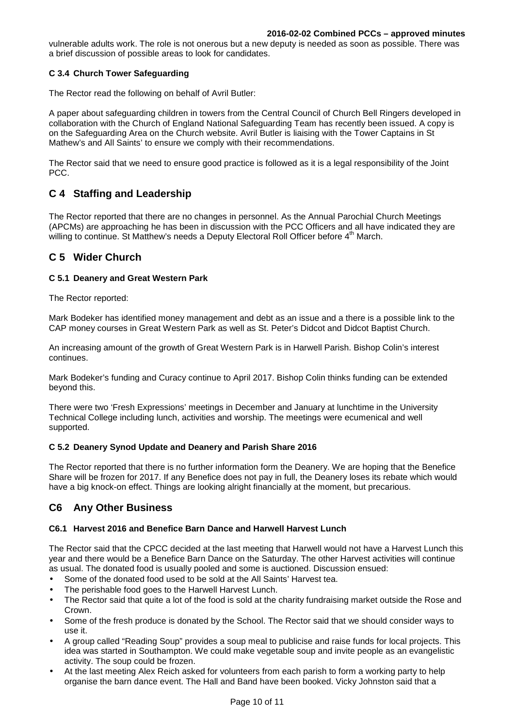vulnerable adults work. The role is not onerous but a new deputy is needed as soon as possible. There was a brief discussion of possible areas to look for candidates.

### **C 3.4 Church Tower Safeguarding**

The Rector read the following on behalf of Avril Butler:

A paper about safeguarding children in towers from the Central Council of Church Bell Ringers developed in collaboration with the Church of England National Safeguarding Team has recently been issued. A copy is on the Safeguarding Area on the Church website. Avril Butler is liaising with the Tower Captains in St Mathew's and All Saints' to ensure we comply with their recommendations.

The Rector said that we need to ensure good practice is followed as it is a legal responsibility of the Joint PCC.

# **C 4 Staffing and Leadership**

The Rector reported that there are no changes in personnel. As the Annual Parochial Church Meetings (APCMs) are approaching he has been in discussion with the PCC Officers and all have indicated they are willing to continue. St Matthew's needs a Deputy Electoral Roll Officer before 4<sup>th</sup> March.

## **C 5 Wider Church**

### **C 5.1 Deanery and Great Western Park**

The Rector reported:

Mark Bodeker has identified money management and debt as an issue and a there is a possible link to the CAP money courses in Great Western Park as well as St. Peter's Didcot and Didcot Baptist Church.

An increasing amount of the growth of Great Western Park is in Harwell Parish. Bishop Colin's interest continues.

Mark Bodeker's funding and Curacy continue to April 2017. Bishop Colin thinks funding can be extended beyond this.

There were two 'Fresh Expressions' meetings in December and January at lunchtime in the University Technical College including lunch, activities and worship. The meetings were ecumenical and well supported.

### **C 5.2 Deanery Synod Update and Deanery and Parish Share 2016**

The Rector reported that there is no further information form the Deanery. We are hoping that the Benefice Share will be frozen for 2017. If any Benefice does not pay in full, the Deanery loses its rebate which would have a big knock-on effect. Things are looking alright financially at the moment, but precarious.

# **C6 Any Other Business**

### **C6.1 Harvest 2016 and Benefice Barn Dance and Harwell Harvest Lunch**

The Rector said that the CPCC decided at the last meeting that Harwell would not have a Harvest Lunch this year and there would be a Benefice Barn Dance on the Saturday. The other Harvest activities will continue as usual. The donated food is usually pooled and some is auctioned. Discussion ensued:

- Some of the donated food used to be sold at the All Saints' Harvest tea.
- The perishable food goes to the Harwell Harvest Lunch.
- The Rector said that quite a lot of the food is sold at the charity fundraising market outside the Rose and Crown.
- Some of the fresh produce is donated by the School. The Rector said that we should consider ways to use it.
- A group called "Reading Soup" provides a soup meal to publicise and raise funds for local projects. This idea was started in Southampton. We could make vegetable soup and invite people as an evangelistic activity. The soup could be frozen.
- At the last meeting Alex Reich asked for volunteers from each parish to form a working party to help organise the barn dance event. The Hall and Band have been booked. Vicky Johnston said that a